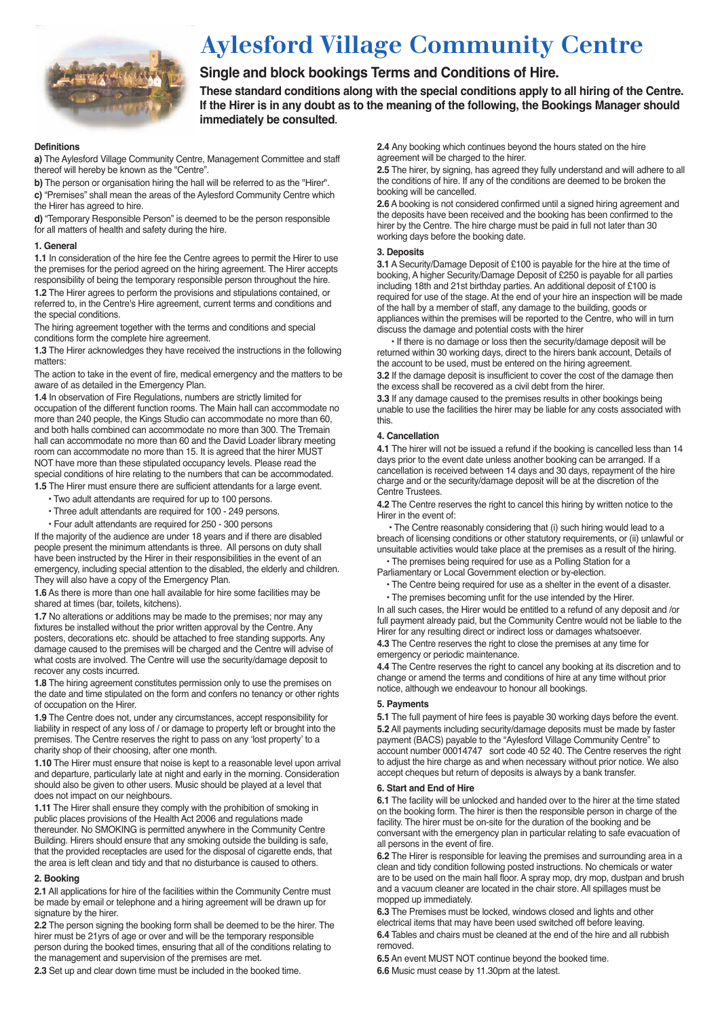

# **Aylesford Village Community Centre**

## **Single and block bookings Terms and Conditions of Hire.**

**These standard conditions along with the special conditions apply to all hiring of the Centre. If the Hirer is in any doubt as to the meaning of the following, the Bookings Manager should immediately be consulted.**

#### **Definitions**

**a)** The Aylesford Village Community Centre, Management Committee and staff thereof will hereby be known as the "Centre".

**b)** The person or organisation hiring the hall will be referred to as the "Hirer".

**c)** "Premises" shall mean the areas of the Aylesford Community Centre which the Hirer has agreed to hire.

**d)** "Temporary Responsible Person" is deemed to be the person responsible for all matters of health and safety during the hire.

## **1. General**

**1.1** In consideration of the hire fee the Centre agrees to permit the Hirer to use the premises for the period agreed on the hiring agreement. The Hirer accepts responsibility of being the temporary responsible person throughout the hire. **1.2** The Hirer agrees to perform the provisions and stipulations contained, or referred to, in the Centre's Hire agreement, current terms and conditions and the special conditions.

The hiring agreement together with the terms and conditions and special conditions form the complete hire agreement.

**1.3** The Hirer acknowledges they have received the instructions in the following matters:

The action to take in the event of fire, medical emergency and the matters to be aware of as detailed in the Emergency Plan.

**1.4** In observation of Fire Regulations, numbers are strictly limited for occupation of the different function rooms. The Main hall can accommodate no more than 240 people, the Kings Studio can accommodate no more than 60, and both halls combined can accommodate no more than 300. The Tremain hall can accommodate no more than 60 and the David Loader library meeting room can accommodate no more than 15. It is agreed that the hirer MUST NOT have more than these stipulated occupancy levels. Please read the special conditions of hire relating to the numbers that can be accommodated. **1.5** The Hirer must ensure there are sufficient attendants for a large event.

- Two adult attendants are required for up to 100 persons.
- Three adult attendants are required for 100 249 persons.
- Four adult attendants are required for 250 300 persons

If the majority of the audience are under 18 years and if there are disabled people present the minimum attendants is three. All persons on duty shall have been instructed by the Hirer in their responsibilities in the event of an emergency, including special attention to the disabled, the elderly and children. They will also have a copy of the Emergency Plan.

**1.6** As there is more than one hall available for hire some facilities may be shared at times (bar, toilets, kitchens).

**1.7** No alterations or additions may be made to the premises; nor may any fixtures be installed without the prior written approval by the Centre. Any posters, decorations etc. should be attached to free standing supports. Any damage caused to the premises will be charged and the Centre will advise of what costs are involved. The Centre will use the security/damage deposit to recover any costs incurred.

**1.8** The hiring agreement constitutes permission only to use the premises on the date and time stipulated on the form and confers no tenancy or other rights of occupation on the Hirer.

**1.9** The Centre does not, under any circumstances, accept responsibility for liability in respect of any loss of / or damage to property left or brought into the premises. The Centre reserves the right to pass on any 'lost property' to a charity shop of their choosing, after one month.

**1.10** The Hirer must ensure that noise is kept to a reasonable level upon arrival and departure, particularly late at night and early in the morning. Consideration should also be given to other users. Music should be played at a level that does not impact on our neighbours.

**1.11** The Hirer shall ensure they comply with the prohibition of smoking in public places provisions of the Health Act 2006 and regulations made thereunder. No SMOKING is permitted anywhere in the Community Centre Building. Hirers should ensure that any smoking outside the building is safe, that the provided receptacles are used for the disposal of cigarette ends, that the area is left clean and tidy and that no disturbance is caused to others.

## **2. Booking**

**2.1** All applications for hire of the facilities within the Community Centre must be made by email or telephone and a hiring agreement will be drawn up for signature by the hirer.

**2.2** The person signing the booking form shall be deemed to be the hirer. The hirer must be 21yrs of age or over and will be the temporary responsible person during the booked times, ensuring that all of the conditions relating to the management and supervision of the premises are met.

**2.3** Set up and clear down time must be included in the booked time.

**2.4** Any booking which continues beyond the hours stated on the hire agreement will be charged to the hirer.

**2.5** The hirer, by signing, has agreed they fully understand and will adhere to all the conditions of hire. If any of the conditions are deemed to be broken the booking will be cancelled.

**2.6** A booking is not considered confirmed until a signed hiring agreement and the deposits have been received and the booking has been confirmed to the hirer by the Centre. The hire charge must be paid in full not later than 30 working days before the booking date.

### **3. Deposits**

**3.1** A Security/Damage Deposit of £100 is payable for the hire at the time of booking, A higher Security/Damage Deposit of £250 is payable for all parties including 18th and 21st birthday parties. An additional deposit of £100 is required for use of the stage. At the end of your hire an inspection will be made of the hall by a member of staff, any damage to the building, goods or appliances within the premises will be reported to the Centre, who will in turn discuss the damage and potential costs with the hirer

• If there is no damage or loss then the security/damage deposit will be returned within 30 working days, direct to the hirers bank account, Details of the account to be used, must be entered on the hiring agreement.

**3.2** If the damage deposit is insufficient to cover the cost of the damage then the excess shall be recovered as a civil debt from the hirer.

**3.3** If any damage caused to the premises results in other bookings being unable to use the facilities the hirer may be liable for any costs associated with this.

## **4. Cancellation**

**4.1** The hirer will not be issued a refund if the booking is cancelled less than 14 days prior to the event date unless another booking can be arranged. If a cancellation is received between 14 days and 30 days, repayment of the hire charge and or the security/damage deposit will be at the discretion of the Centre Trustees.

**4.2** The Centre reserves the right to cancel this hiring by written notice to the Hirer in the event of:

• The Centre reasonably considering that (i) such hiring would lead to a breach of licensing conditions or other statutory requirements, or (ii) unlawful or unsuitable activities would take place at the premises as a result of the hiring.

• The premises being required for use as a Polling Station for a Parliamentary or Local Government election or by-election.

• The Centre being required for use as a shelter in the event of a disaster.

• The premises becoming unfit for the use intended by the Hirer.

In all such cases, the Hirer would be entitled to a refund of any deposit and /or full payment already paid, but the Community Centre would not be liable to the Hirer for any resulting direct or indirect loss or damages whatsoever. **4.3** The Centre reserves the right to close the premises at any time for

emergency or periodic maintenance.

**4.4** The Centre reserves the right to cancel any booking at its discretion and to change or amend the terms and conditions of hire at any time without prior notice, although we endeavour to honour all bookings.

## **5. Payments**

**5.1** The full payment of hire fees is payable 30 working days before the event. **5.2** All payments including security/damage deposits must be made by faster payment (BACS) payable to the "Aylesford Village Community Centre" to account number 00014747 sort code 40 52 40. The Centre reserves the right to adjust the hire charge as and when necessary without prior notice. We also accept cheques but return of deposits is always by a bank transfer.

## **6. Start and End of Hire**

**6.1** The facility will be unlocked and handed over to the hirer at the time stated on the booking form. The hirer is then the responsible person in charge of the facility. The hirer must be on-site for the duration of the booking and be conversant with the emergency plan in particular relating to safe evacuation of all persons in the event of fire.

**6.2** The Hirer is responsible for leaving the premises and surrounding area in a clean and tidy condition following posted instructions. No chemicals or water are to be used on the main hall floor. A spray mop, dry mop, dustpan and brush and a vacuum cleaner are located in the chair store. All spillages must be mopped up immediately.

**6.3** The Premises must be locked, windows closed and lights and other electrical items that may have been used switched off before leaving. **6.4** Tables and chairs must be cleaned at the end of the hire and all rubbish removed.

**6.5** An event MUST NOT continue beyond the booked time. **6.6** Music must cease by 11.30pm at the latest.